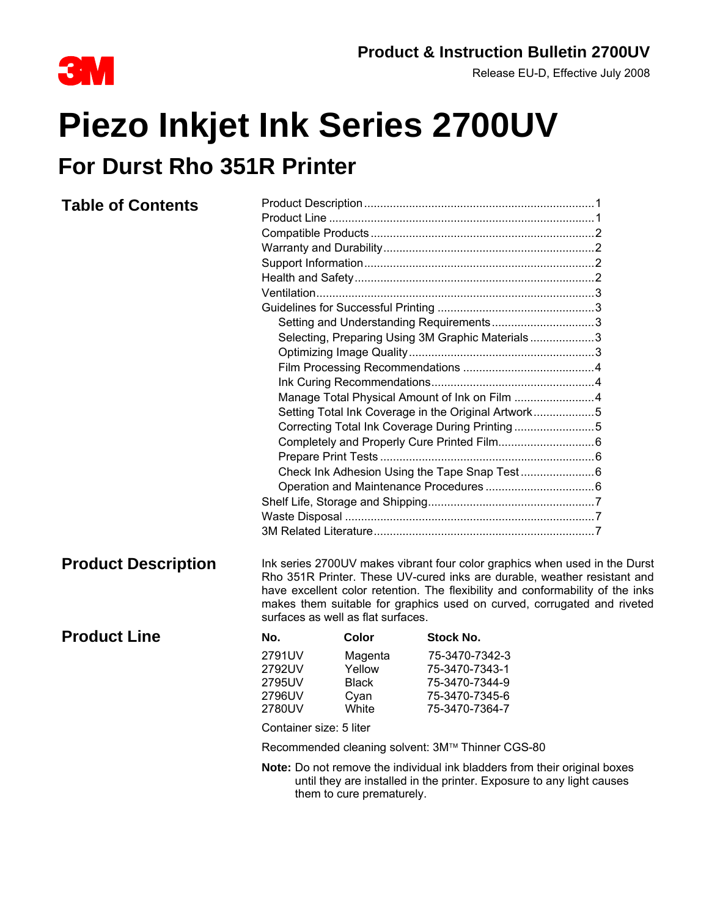

Release EU-D, Effective July 2008

# **Piezo Inkjet Ink Series 2700UV For Durst Rho 351R Printer**

### **Table of Contents** Product Description........................................................................1 Product Line ...................................................................................1 Compatible Products......................................................................2 Warranty and Durability..................................................................2 Support Information........................................................................2 Health and Safety...........................................................................2 Ventilation.......................................................................................3 Guidelines for Successful Printing .................................................3 Setting and Understanding Requirements.................................3 Selecting, Preparing Using 3M Graphic Materials ....................3 Optimizing Image Quality..........................................................3 Film Processing Recommendations .........................................4 Ink Curing Recommendations...................................................4 Manage Total Physical Amount of Ink on Film .........................4 Setting Total Ink Coverage in the Original Artwork...................5 Correcting Total Ink Coverage During Printing .........................5 Completely and Properly Cure Printed Film..............................6 Prepare Print Tests ...................................................................6 Check Ink Adhesion Using the Tape Snap Test .......................6 Operation and Maintenance Procedures ..................................6 Shelf Life, Storage and Shipping....................................................7 Waste Disposal ..............................................................................7 3M Related Literature.....................................................................7 **Product Description** Ink series 2700UV makes vibrant four color graphics when used in the Durst Rho 351R Printer. These UV-cured inks are durable, weather resistant and have excellent color retention. The flexibility and conformability of the inks makes them suitable for graphics used on curved, corrugated and riveted surfaces as well as flat surfaces. **Product Line** No. Color Stock No. 2791UV Magenta 75-3470-7342-3 2792UV Yellow 75-3470-7343-1 2795UV Black 75-3470-7344-9 2796UV Cyan 75-3470-7345-6 2780UV White 75-3470-7364-7 Container size: 5 liter Recommended cleaning solvent: 3M™ Thinner CGS-80 **Note:** Do not remove the individual ink bladders from their original boxes

until they are installed in the printer. Exposure to any light causes them to cure prematurely.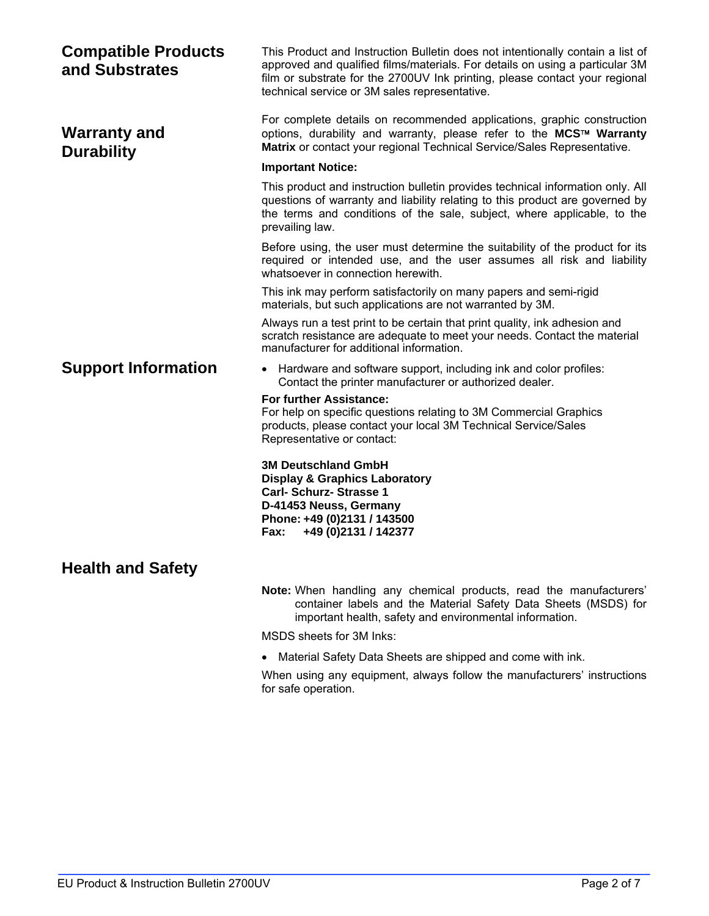| <b>Compatible Products</b><br>and Substrates | This Product and Instruction Bulletin does not intentionally contain a list of<br>approved and qualified films/materials. For details on using a particular 3M<br>film or substrate for the 2700UV Ink printing, please contact your regional<br>technical service or 3M sales representative. |  |  |  |  |
|----------------------------------------------|------------------------------------------------------------------------------------------------------------------------------------------------------------------------------------------------------------------------------------------------------------------------------------------------|--|--|--|--|
| <b>Warranty and</b><br><b>Durability</b>     | For complete details on recommended applications, graphic construction<br>options, durability and warranty, please refer to the MCS™ Warranty<br>Matrix or contact your regional Technical Service/Sales Representative.                                                                       |  |  |  |  |
|                                              | <b>Important Notice:</b>                                                                                                                                                                                                                                                                       |  |  |  |  |
|                                              | This product and instruction bulletin provides technical information only. All<br>questions of warranty and liability relating to this product are governed by<br>the terms and conditions of the sale, subject, where applicable, to the<br>prevailing law.                                   |  |  |  |  |
|                                              | Before using, the user must determine the suitability of the product for its<br>required or intended use, and the user assumes all risk and liability<br>whatsoever in connection herewith.                                                                                                    |  |  |  |  |
|                                              | This ink may perform satisfactorily on many papers and semi-rigid<br>materials, but such applications are not warranted by 3M.                                                                                                                                                                 |  |  |  |  |
|                                              | Always run a test print to be certain that print quality, ink adhesion and<br>scratch resistance are adequate to meet your needs. Contact the material<br>manufacturer for additional information.                                                                                             |  |  |  |  |
| <b>Support Information</b>                   | • Hardware and software support, including ink and color profiles:<br>Contact the printer manufacturer or authorized dealer.                                                                                                                                                                   |  |  |  |  |
|                                              | <b>For further Assistance:</b><br>For help on specific questions relating to 3M Commercial Graphics<br>products, please contact your local 3M Technical Service/Sales<br>Representative or contact:                                                                                            |  |  |  |  |
|                                              | <b>3M Deutschland GmbH</b><br><b>Display &amp; Graphics Laboratory</b><br><b>Carl-Schurz-Strasse 1</b><br>D-41453 Neuss, Germany<br>Phone: +49 (0)2131 / 143500<br>+49 (0) 2131 / 142377<br>Fax:                                                                                               |  |  |  |  |
| <b>Health and Safety</b>                     |                                                                                                                                                                                                                                                                                                |  |  |  |  |
|                                              | Note: When handling any chemical products, read the manufacturers'<br>container labels and the Material Safety Data Sheets (MSDS) for<br>important health, safety and environmental information.                                                                                               |  |  |  |  |
|                                              | MSDS sheets for 3M Inks:                                                                                                                                                                                                                                                                       |  |  |  |  |
|                                              | Material Safety Data Sheets are shipped and come with ink.                                                                                                                                                                                                                                     |  |  |  |  |
|                                              | When using any equipment, always follow the manufacturers' instructions<br>for safe operation.                                                                                                                                                                                                 |  |  |  |  |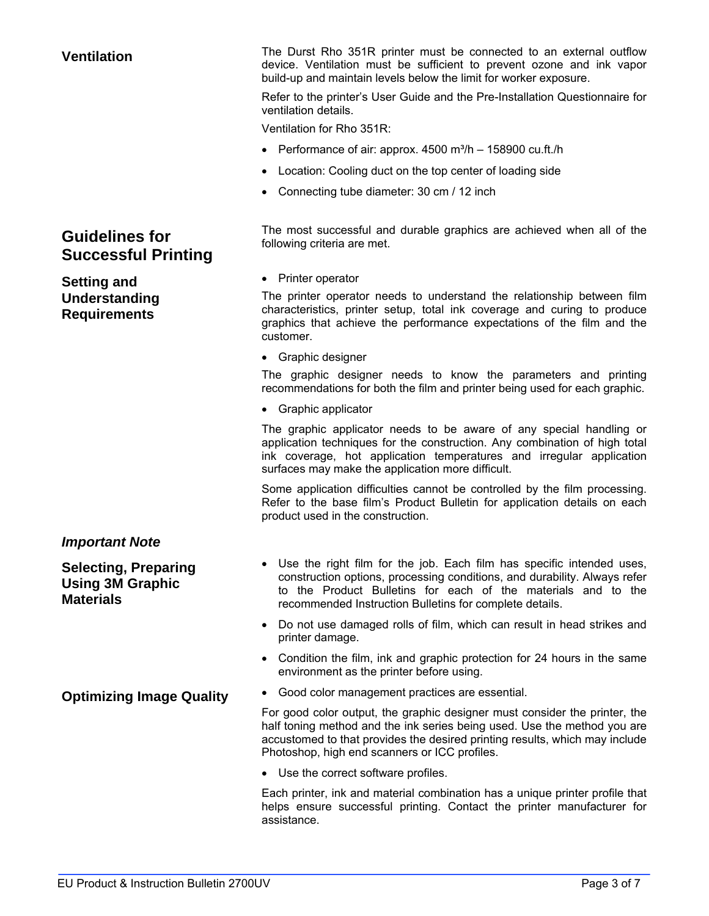### **Guidelines for Successful Printing**

**Setting and Understanding Requirements** 

### *Important Note*

**Selecting, Preparing Using 3M Graphic Materials** 

**Ventilation** The Durst Rho 351R printer must be connected to an external outflow device. Ventilation must be sufficient to prevent ozone and ink vapor build-up and maintain levels below the limit for worker exposure.

> Refer to the printer's User Guide and the Pre-Installation Questionnaire for ventilation details.

Ventilation for Rho 351R:

- Performance of air: approx.  $4500 \text{ m}^3/h 158900 \text{ cu} \cdot \text{ft}$ ./h
- Location: Cooling duct on the top center of loading side
- Connecting tube diameter: 30 cm / 12 inch

The most successful and durable graphics are achieved when all of the following criteria are met.

• Printer operator

The printer operator needs to understand the relationship between film characteristics, printer setup, total ink coverage and curing to produce graphics that achieve the performance expectations of the film and the customer.

• Graphic designer

The graphic designer needs to know the parameters and printing recommendations for both the film and printer being used for each graphic.

• Graphic applicator

The graphic applicator needs to be aware of any special handling or application techniques for the construction. Any combination of high total ink coverage, hot application temperatures and irregular application surfaces may make the application more difficult.

Some application difficulties cannot be controlled by the film processing. Refer to the base film's Product Bulletin for application details on each product used in the construction.

- Use the right film for the job. Each film has specific intended uses, construction options, processing conditions, and durability. Always refer to the Product Bulletins for each of the materials and to the recommended Instruction Bulletins for complete details.
- Do not use damaged rolls of film, which can result in head strikes and printer damage.
- Condition the film, ink and graphic protection for 24 hours in the same environment as the printer before using.
- **Optimizing Image Quality Good color management practices are essential.**

For good color output, the graphic designer must consider the printer, the half toning method and the ink series being used. Use the method you are accustomed to that provides the desired printing results, which may include Photoshop, high end scanners or ICC profiles.

• Use the correct software profiles.

Each printer, ink and material combination has a unique printer profile that helps ensure successful printing. Contact the printer manufacturer for assistance.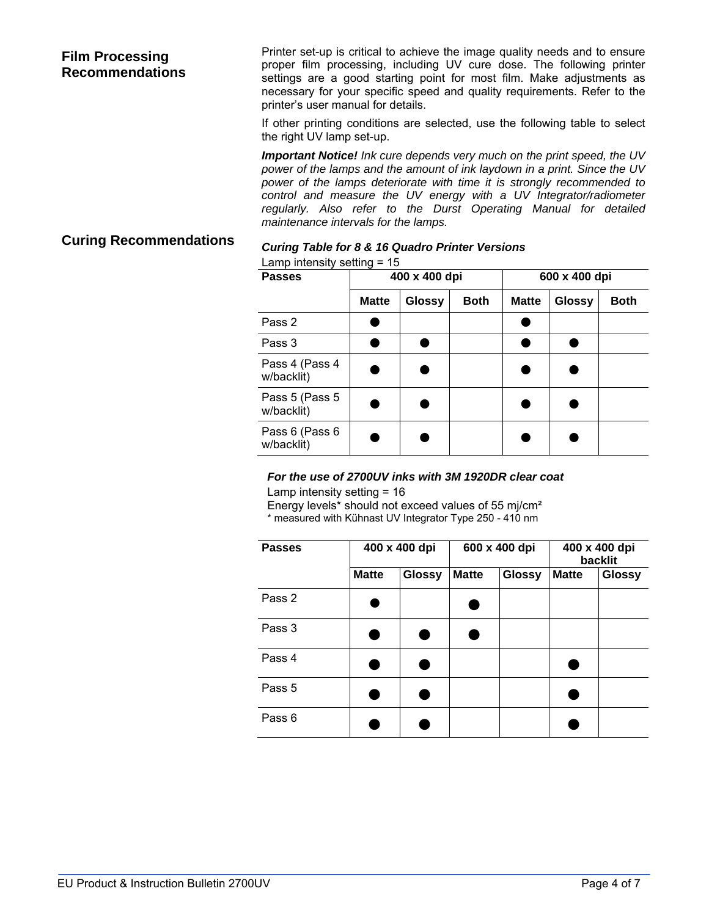### **Film Processing Recommendations**

Printer set-up is critical to achieve the image quality needs and to ensure proper film processing, including UV cure dose. The following printer settings are a good starting point for most film. Make adjustments as necessary for your specific speed and quality requirements. Refer to the printer's user manual for details.

If other printing conditions are selected, use the following table to select the right UV lamp set-up.

*Important Notice! Ink cure depends very much on the print speed, the UV power of the lamps and the amount of ink laydown in a print. Since the UV power of the lamps deteriorate with time it is strongly recommended to control and measure the UV energy with a UV Integrator/radiometer regularly. Also refer to the Durst Operating Manual for detailed maintenance intervals for the lamps.* 

## **Curing Recommendations** *Curing Table for 8 & 16 Quadro Printer Versions*

|  | Lamp intensity setting $= 15$ |  |  |
|--|-------------------------------|--|--|
|  |                               |  |  |

| <b>Passes</b>                 | 400 x 400 dpi |               |             | 600 x 400 dpi |        |             |
|-------------------------------|---------------|---------------|-------------|---------------|--------|-------------|
|                               | <b>Matte</b>  | <b>Glossy</b> | <b>Both</b> | <b>Matte</b>  | Glossy | <b>Both</b> |
| Pass 2                        |               |               |             |               |        |             |
| Pass 3                        |               |               |             |               |        |             |
| Pass 4 (Pass 4<br>w/backlit)  |               |               |             |               |        |             |
| Pass 5 (Pass 5)<br>w/backlit) |               |               |             |               |        |             |
| Pass 6 (Pass 6<br>w/backlit)  |               |               |             |               |        |             |

### *For the use of 2700UV inks with 3M 1920DR clear coat*

Lamp intensity setting = 16

Energy levels\* should not exceed values of 55 mj/cm² \* measured with Kühnast UV Integrator Type 250 - 410 nm

| <b>Passes</b> |              | 400 x 400 dpi | 600 x 400 dpi |               | 400 x 400 dpi<br>backlit |               |
|---------------|--------------|---------------|---------------|---------------|--------------------------|---------------|
|               | <b>Matte</b> | <b>Glossy</b> | <b>Matte</b>  | <b>Glossy</b> | <b>Matte</b>             | <b>Glossy</b> |
| Pass 2        |              |               |               |               |                          |               |
| Pass 3        |              |               |               |               |                          |               |
| Pass 4        |              |               |               |               |                          |               |
| Pass 5        |              |               |               |               |                          |               |
| Pass 6        |              |               |               |               |                          |               |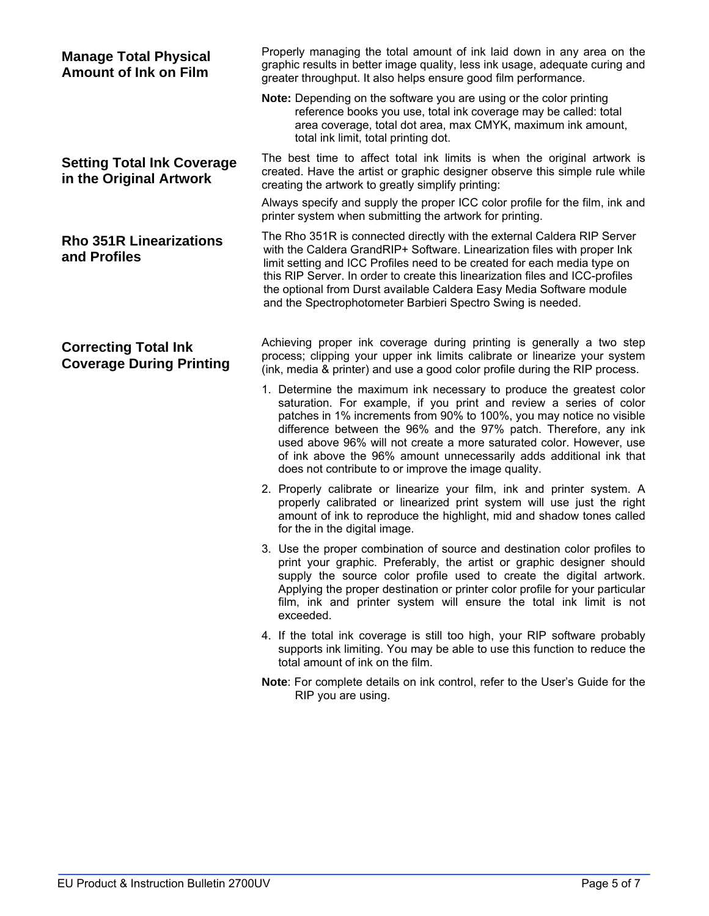| <b>Manage Total Physical</b><br><b>Amount of Ink on Film</b>   | Properly managing the total amount of ink laid down in any area on the<br>graphic results in better image quality, less ink usage, adequate curing and<br>greater throughput. It also helps ensure good film performance.                                                                                                                                                                                                                                                                   |
|----------------------------------------------------------------|---------------------------------------------------------------------------------------------------------------------------------------------------------------------------------------------------------------------------------------------------------------------------------------------------------------------------------------------------------------------------------------------------------------------------------------------------------------------------------------------|
|                                                                | <b>Note:</b> Depending on the software you are using or the color printing<br>reference books you use, total ink coverage may be called: total<br>area coverage, total dot area, max CMYK, maximum ink amount,<br>total ink limit, total printing dot.                                                                                                                                                                                                                                      |
| <b>Setting Total Ink Coverage</b><br>in the Original Artwork   | The best time to affect total ink limits is when the original artwork is<br>created. Have the artist or graphic designer observe this simple rule while<br>creating the artwork to greatly simplify printing:                                                                                                                                                                                                                                                                               |
|                                                                | Always specify and supply the proper ICC color profile for the film, ink and<br>printer system when submitting the artwork for printing.                                                                                                                                                                                                                                                                                                                                                    |
| <b>Rho 351R Linearizations</b><br>and Profiles                 | The Rho 351R is connected directly with the external Caldera RIP Server<br>with the Caldera GrandRIP+ Software. Linearization files with proper Ink<br>limit setting and ICC Profiles need to be created for each media type on<br>this RIP Server. In order to create this linearization files and ICC-profiles<br>the optional from Durst available Caldera Easy Media Software module<br>and the Spectrophotometer Barbieri Spectro Swing is needed.                                     |
| <b>Correcting Total Ink</b><br><b>Coverage During Printing</b> | Achieving proper ink coverage during printing is generally a two step<br>process; clipping your upper ink limits calibrate or linearize your system<br>(ink, media & printer) and use a good color profile during the RIP process.                                                                                                                                                                                                                                                          |
|                                                                | 1. Determine the maximum ink necessary to produce the greatest color<br>saturation. For example, if you print and review a series of color<br>patches in 1% increments from 90% to 100%, you may notice no visible<br>difference between the 96% and the 97% patch. Therefore, any ink<br>used above 96% will not create a more saturated color. However, use<br>of ink above the 96% amount unnecessarily adds additional ink that<br>does not contribute to or improve the image quality. |
|                                                                | 2. Properly calibrate or linearize your film, ink and printer system. A<br>properly calibrated or linearized print system will use just the right<br>amount of ink to reproduce the highlight, mid and shadow tones called<br>for the in the digital image.                                                                                                                                                                                                                                 |
|                                                                | 3. Use the proper combination of source and destination color profiles to<br>print your graphic. Preferably, the artist or graphic designer should<br>supply the source color profile used to create the digital artwork.<br>Applying the proper destination or printer color profile for your particular<br>film, ink and printer system will ensure the total ink limit is not<br>exceeded.                                                                                               |
|                                                                | 4. If the total ink coverage is still too high, your RIP software probably<br>supports ink limiting. You may be able to use this function to reduce the<br>total amount of ink on the film.                                                                                                                                                                                                                                                                                                 |
|                                                                | Note: For complete details on ink control, refer to the User's Guide for the<br>RIP you are using.                                                                                                                                                                                                                                                                                                                                                                                          |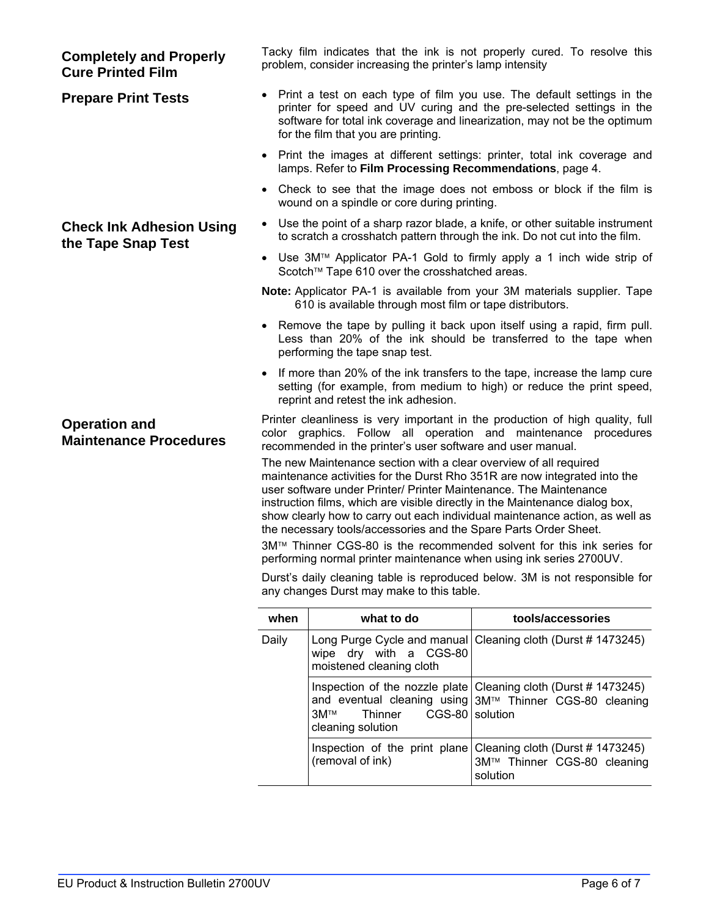| <b>Completely and Properly</b><br><b>Cure Printed Film</b> |           | problem, consider increasing the printer's lamp intensity                                                                                                                                                                                                                                                                                                         | Tacky film indicates that the ink is not properly cured. To resolve this                                                                                                                                                          |
|------------------------------------------------------------|-----------|-------------------------------------------------------------------------------------------------------------------------------------------------------------------------------------------------------------------------------------------------------------------------------------------------------------------------------------------------------------------|-----------------------------------------------------------------------------------------------------------------------------------------------------------------------------------------------------------------------------------|
| <b>Prepare Print Tests</b>                                 |           | for the film that you are printing.                                                                                                                                                                                                                                                                                                                               | • Print a test on each type of film you use. The default settings in the<br>printer for speed and UV curing and the pre-selected settings in the<br>software for total ink coverage and linearization, may not be the optimun     |
|                                                            | ٠         | lamps. Refer to Film Processing Recommendations, page 4.                                                                                                                                                                                                                                                                                                          | Print the images at different settings: printer, total ink coverage and                                                                                                                                                           |
|                                                            |           | wound on a spindle or core during printing.                                                                                                                                                                                                                                                                                                                       | • Check to see that the image does not emboss or block if the film is                                                                                                                                                             |
| <b>Check Ink Adhesion Using</b><br>the Tape Snap Test      | $\bullet$ |                                                                                                                                                                                                                                                                                                                                                                   | Use the point of a sharp razor blade, a knife, or other suitable instrumen<br>to scratch a crosshatch pattern through the ink. Do not cut into the film.                                                                          |
|                                                            |           | Scotch™ Tape 610 over the crosshatched areas.                                                                                                                                                                                                                                                                                                                     | • Use 3M <sup>TM</sup> Applicator PA-1 Gold to firmly apply a 1 inch wide strip o                                                                                                                                                 |
|                                                            |           | 610 is available through most film or tape distributors.                                                                                                                                                                                                                                                                                                          | Note: Applicator PA-1 is available from your 3M materials supplier. Tape                                                                                                                                                          |
|                                                            | $\bullet$ | performing the tape snap test.                                                                                                                                                                                                                                                                                                                                    | Remove the tape by pulling it back upon itself using a rapid, firm pull<br>Less than 20% of the ink should be transferred to the tape wher                                                                                        |
|                                                            |           | reprint and retest the ink adhesion.                                                                                                                                                                                                                                                                                                                              | If more than 20% of the ink transfers to the tape, increase the lamp cure<br>setting (for example, from medium to high) or reduce the print speed                                                                                 |
| <b>Operation and</b><br><b>Maintenance Procedures</b>      |           | recommended in the printer's user software and user manual.                                                                                                                                                                                                                                                                                                       | Printer cleanliness is very important in the production of high quality, full<br>color graphics. Follow all operation and maintenance procedures                                                                                  |
|                                                            |           | The new Maintenance section with a clear overview of all required<br>user software under Printer/ Printer Maintenance. The Maintenance<br>instruction films, which are visible directly in the Maintenance dialog box,<br>the necessary tools/accessories and the Spare Parts Order Sheet.<br>performing normal printer maintenance when using ink series 2700UV. | maintenance activities for the Durst Rho 351R are now integrated into the<br>show clearly how to carry out each individual maintenance action, as well as<br>3M™ Thinner CGS-80 is the recommended solvent for this ink series fo |
|                                                            |           | any changes Durst may make to this table.                                                                                                                                                                                                                                                                                                                         | Durst's daily cleaning table is reproduced below. 3M is not responsible fo                                                                                                                                                        |
|                                                            | when      | what to do                                                                                                                                                                                                                                                                                                                                                        | tools/accessories                                                                                                                                                                                                                 |
|                                                            | Daily     | Long Purge Cycle and manual<br>wipe dry with a CGS-80<br>moistened cleaning cloth                                                                                                                                                                                                                                                                                 | Cleaning cloth (Durst # 1473245)                                                                                                                                                                                                  |
|                                                            |           | 3M™<br>Thinner<br>cleaning solution                                                                                                                                                                                                                                                                                                                               | Inspection of the nozzle plate Cleaning cloth (Durst #1473245)<br>and eventual cleaning using   3M™ Thinner CGS-80 cleaning<br>CGS-80 solution                                                                                    |
|                                                            |           | (removal of ink)                                                                                                                                                                                                                                                                                                                                                  | Inspection of the print plane Cleaning cloth (Durst #1473245)<br>3M™ Thinner CGS-80 cleaning<br>solution                                                                                                                          |

- **Prepare Print Tests**  Print a test on each type of film you use. The default settings in the the pre-selected settings in the rization, may not be the optimum
- printer, total ink coverage and **nmendations**, page 4.
- emboss or block if the film is wound on a spindle or core during printing.
- nife, or other suitable instrument he ink. Do not cut into the film.
- lly apply a 1 inch wide strip of d areas.
- **Nur 3M materials supplier. Tape** ape distributors.
- on itself using a rapid, firm pull. transferred to the tape when
- the tape, increase the lamp cure igh) or reduce the print speed,